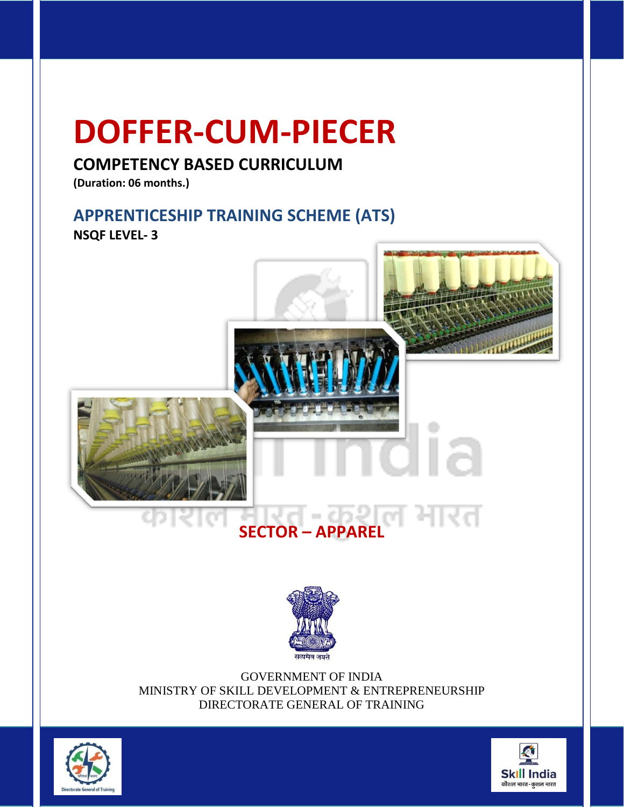### **DOFFER-CUM-PIECER**

#### **COMPETENCY BASED CURRICULUM**

**(Duration: 06 months.)**

#### **APPRENTICESHIP TRAINING SCHEME (ATS) NSQF LEVEL- 3**





GOVERNMENT OF INDIA MINISTRY OF SKILL DEVELOPMENT & ENTREPRENEURSHIP DIRECTORATE GENERAL OF TRAINING



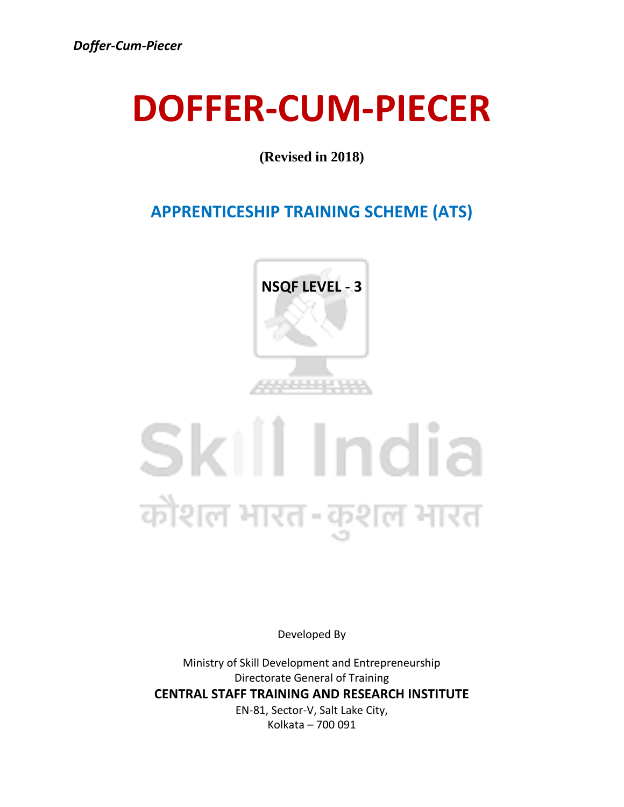## **DOFFER-CUM-PIECER**

**(Revised in 2018)**

#### **APPRENTICESHIP TRAINING SCHEME (ATS)**



## Skill India कौशल भारत-कुशल भारत

Developed By

Ministry of Skill Development and Entrepreneurship Directorate General of Training **CENTRAL STAFF TRAINING AND RESEARCH INSTITUTE** EN-81, Sector-V, Salt Lake City, Kolkata – 700 091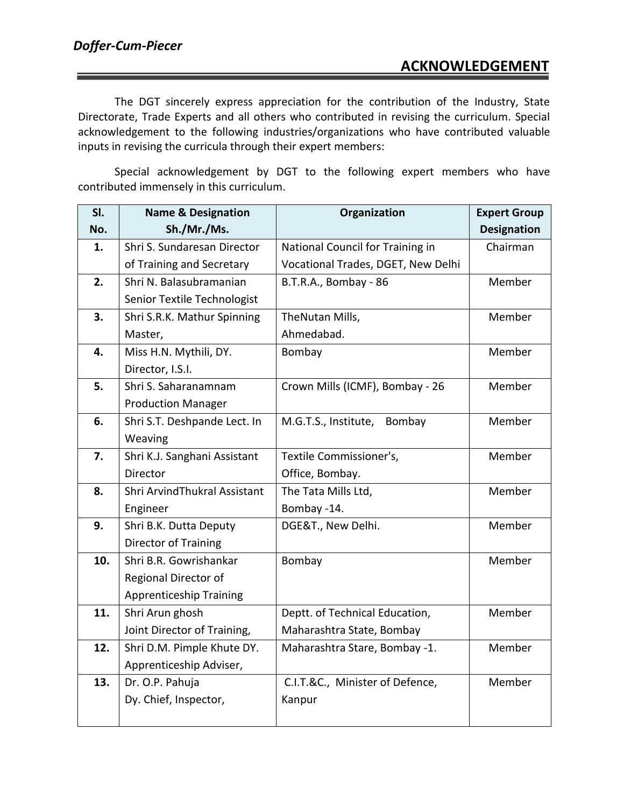#### **ACKNOWLEDGEMENT**

The DGT sincerely express appreciation for the contribution of the Industry, State Directorate, Trade Experts and all others who contributed in revising the curriculum. Special acknowledgement to the following industries/organizations who have contributed valuable inputs in revising the curricula through their expert members:

Special acknowledgement by DGT to the following expert members who have contributed immensely in this curriculum.

| SI. | <b>Name &amp; Designation</b>  | Organization                       | <b>Expert Group</b> |
|-----|--------------------------------|------------------------------------|---------------------|
| No. | Sh./Mr./Ms.                    |                                    | <b>Designation</b>  |
| 1.  | Shri S. Sundaresan Director    | National Council for Training in   | Chairman            |
|     | of Training and Secretary      | Vocational Trades, DGET, New Delhi |                     |
| 2.  | Shri N. Balasubramanian        | B.T.R.A., Bombay - 86              | Member              |
|     | Senior Textile Technologist    |                                    |                     |
| 3.  | Shri S.R.K. Mathur Spinning    | TheNutan Mills,                    | Member              |
|     | Master,                        | Ahmedabad.                         |                     |
| 4.  | Miss H.N. Mythili, DY.         | Bombay                             | Member              |
|     | Director, I.S.I.               |                                    |                     |
| 5.  | Shri S. Saharanamnam           | Crown Mills (ICMF), Bombay - 26    | Member              |
|     | <b>Production Manager</b>      |                                    |                     |
| 6.  | Shri S.T. Deshpande Lect. In   | M.G.T.S., Institute,<br>Bombay     | Member              |
|     | Weaving                        |                                    |                     |
| 7.  | Shri K.J. Sanghani Assistant   | Textile Commissioner's,            | Member              |
|     | Director                       | Office, Bombay.                    |                     |
| 8.  | Shri ArvindThukral Assistant   | The Tata Mills Ltd,                | Member              |
|     | Engineer                       | Bombay -14.                        |                     |
| 9.  | Shri B.K. Dutta Deputy         | DGE&T., New Delhi.                 | Member              |
|     | <b>Director of Training</b>    |                                    |                     |
| 10. | Shri B.R. Gowrishankar         | Bombay                             | Member              |
|     | Regional Director of           |                                    |                     |
|     | <b>Apprenticeship Training</b> |                                    |                     |
| 11. | Shri Arun ghosh                | Deptt. of Technical Education,     | Member              |
|     | Joint Director of Training,    | Maharashtra State, Bombay          |                     |
| 12. | Shri D.M. Pimple Khute DY.     | Maharashtra Stare, Bombay -1.      | Member              |
|     | Apprenticeship Adviser,        |                                    |                     |
| 13. | Dr. O.P. Pahuja                | C.I.T.&C., Minister of Defence,    | Member              |
|     | Dy. Chief, Inspector,          | Kanpur                             |                     |
|     |                                |                                    |                     |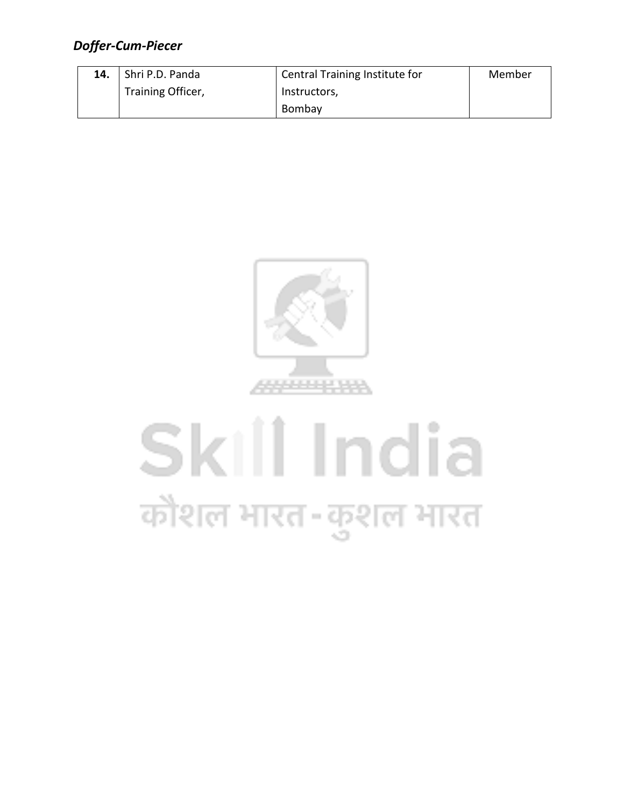| 14. | Shri P.D. Panda   | Central Training Institute for | Member |
|-----|-------------------|--------------------------------|--------|
|     | Training Officer, | Instructors,                   |        |
|     |                   | Bombay                         |        |



# Skill India कौशल भारत-कुशल भारत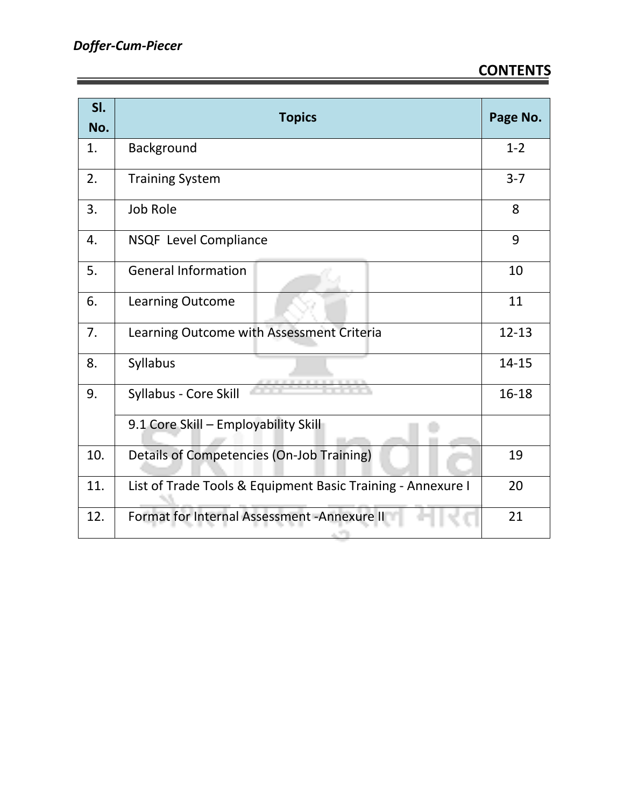#### **CONTENTS**

| SI.<br>No. | <b>Topics</b>                                               | Page No.  |
|------------|-------------------------------------------------------------|-----------|
| 1.         | Background                                                  | $1 - 2$   |
| 2.         | <b>Training System</b>                                      | $3 - 7$   |
| 3.         | Job Role                                                    | 8         |
| 4.         | NSQF Level Compliance                                       | 9         |
| 5.         | <b>General Information</b>                                  | 10        |
| 6.         | <b>Learning Outcome</b>                                     | 11        |
| 7.         | Learning Outcome with Assessment Criteria                   | $12 - 13$ |
| 8.         | Syllabus                                                    | 14-15     |
| 9.         | Syllabus - Core Skill                                       | $16 - 18$ |
|            | 9.1 Core Skill - Employability Skill                        |           |
| 10.        | Details of Competencies (On-Job Training)                   | 19        |
| 11.        | List of Trade Tools & Equipment Basic Training - Annexure I | 20        |
| 12.        | Format for Internal Assessment - Annexure II                | 21        |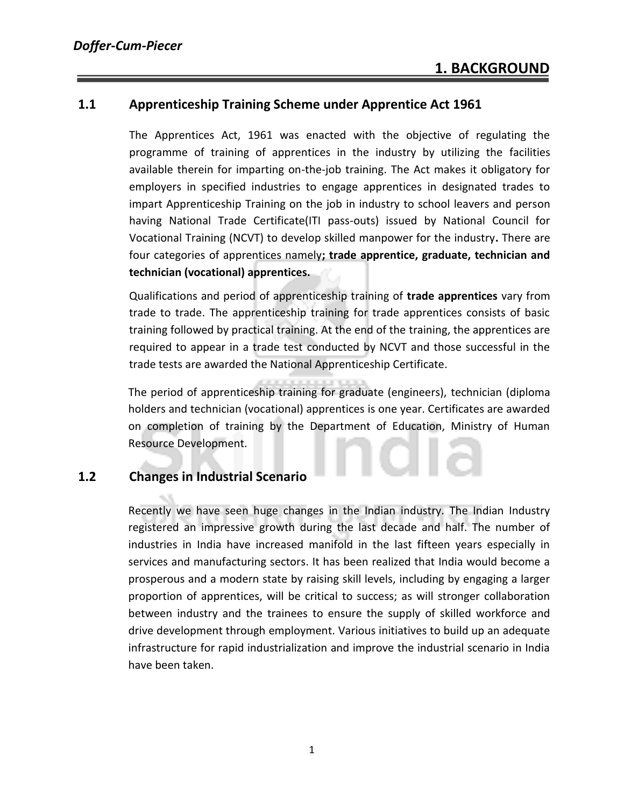#### **1.1 Apprenticeship Training Scheme under Apprentice Act 1961**

The Apprentices Act, 1961 was enacted with the objective of regulating the programme of training of apprentices in the industry by utilizing the facilities available therein for imparting on-the-job training. The Act makes it obligatory for employers in specified industries to engage apprentices in designated trades to impart Apprenticeship Training on the job in industry to school leavers and person having National Trade Certificate(ITI pass-outs) issued by National Council for Vocational Training (NCVT) to develop skilled manpower for the industry**.** There are four categories of apprentices namely**; trade apprentice, graduate, technician and technician (vocational) apprentices.** 

Qualifications and period of apprenticeship training of **trade apprentices** vary from trade to trade. The apprenticeship training for trade apprentices consists of basic training followed by practical training. At the end of the training, the apprentices are required to appear in a trade test conducted by NCVT and those successful in the trade tests are awarded the National Apprenticeship Certificate.

The period of apprenticeship training for graduate (engineers), technician (diploma holders and technician (vocational) apprentices is one year. Certificates are awarded on completion of training by the Department of Education, Ministry of Human Resource Development.

#### **1.2 Changes in Industrial Scenario**

Recently we have seen huge changes in the Indian industry. The Indian Industry registered an impressive growth during the last decade and half. The number of industries in India have increased manifold in the last fifteen years especially in services and manufacturing sectors. It has been realized that India would become a prosperous and a modern state by raising skill levels, including by engaging a larger proportion of apprentices, will be critical to success; as will stronger collaboration between industry and the trainees to ensure the supply of skilled workforce and drive development through employment. Various initiatives to build up an adequate infrastructure for rapid industrialization and improve the industrial scenario in India have been taken.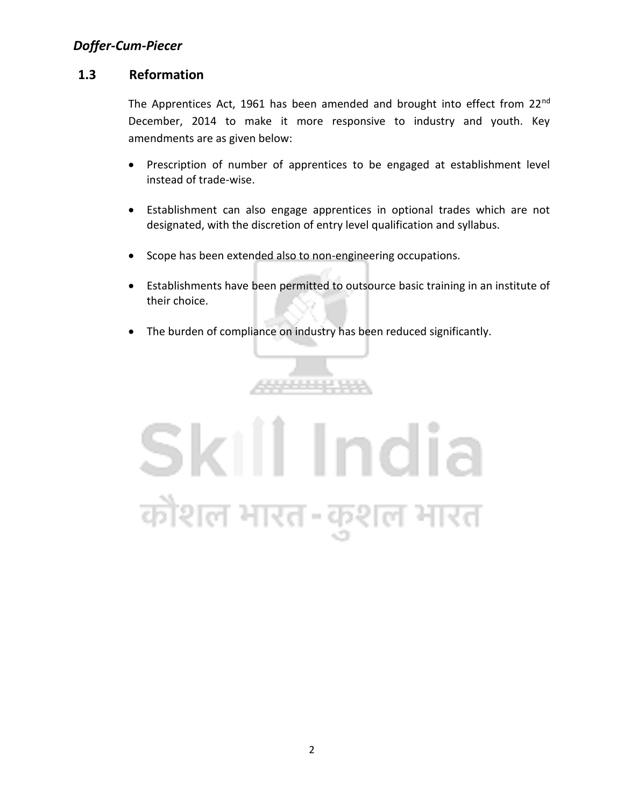#### **1.3 Reformation**

The Apprentices Act, 1961 has been amended and brought into effect from 22<sup>nd</sup> December, 2014 to make it more responsive to industry and youth. Key amendments are as given below:

- Prescription of number of apprentices to be engaged at establishment level instead of trade-wise.
- Establishment can also engage apprentices in optional trades which are not designated, with the discretion of entry level qualification and syllabus.
- Scope has been extended also to non-engineering occupations.
- Establishments have been permitted to outsource basic training in an institute of their choice.
- The burden of compliance on industry has been reduced significantly.

\*\*\*\*\*\*\*\*\*

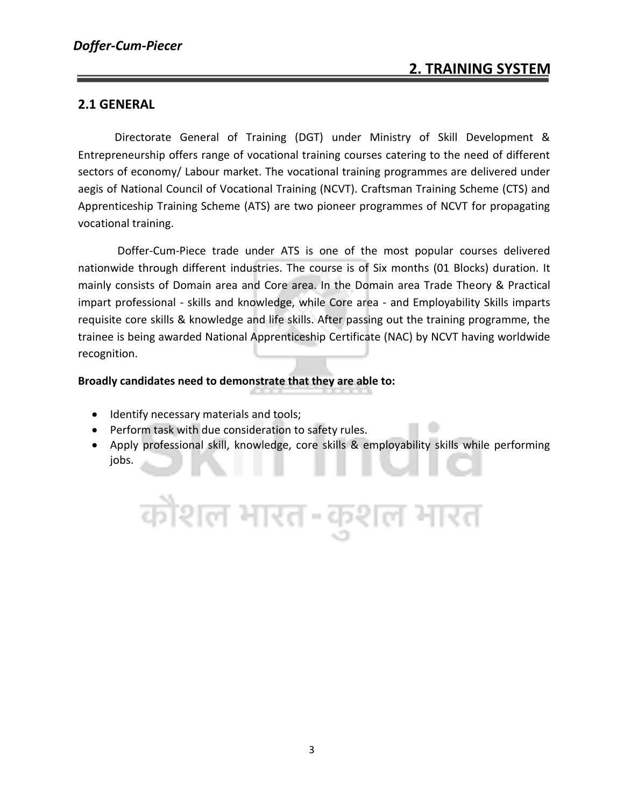#### **2. TRAINING SYSTEM**

#### **2.1 GENERAL**

Directorate General of Training (DGT) under Ministry of Skill Development & Entrepreneurship offers range of vocational training courses catering to the need of different sectors of economy/ Labour market. The vocational training programmes are delivered under aegis of National Council of Vocational Training (NCVT). Craftsman Training Scheme (CTS) and Apprenticeship Training Scheme (ATS) are two pioneer programmes of NCVT for propagating vocational training.

Doffer-Cum-Piece trade under ATS is one of the most popular courses delivered nationwide through different industries. The course is of Six months (01 Blocks) duration. It mainly consists of Domain area and Core area. In the Domain area Trade Theory & Practical impart professional - skills and knowledge, while Core area - and Employability Skills imparts requisite core skills & knowledge and life skills. After passing out the training programme, the trainee is being awarded National Apprenticeship Certificate (NAC) by NCVT having worldwide recognition.

#### **Broadly candidates need to demonstrate that they are able to:**

- Identify necessary materials and tools;
- Perform task with due consideration to safety rules.
- Apply professional skill, knowledge, core skills & employability skills while performing jobs.

कोशल भारत-कुशल भारत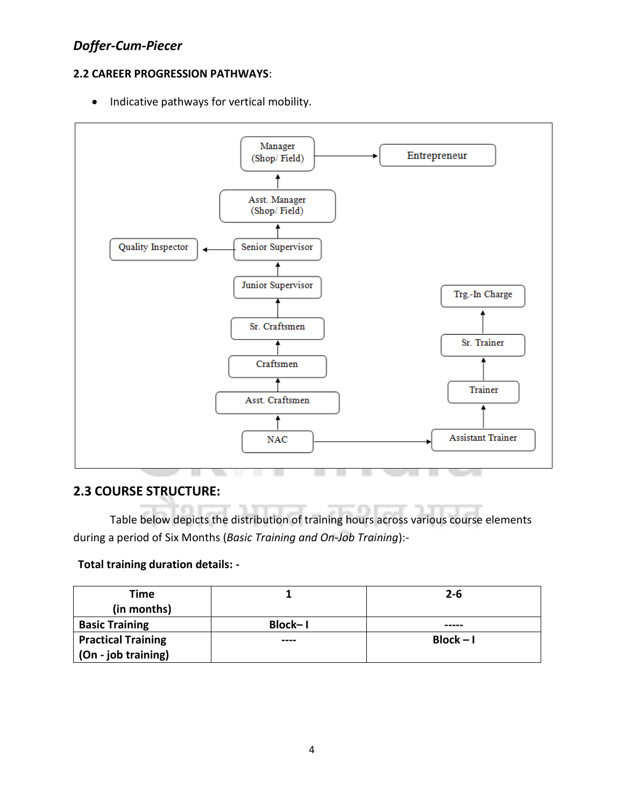#### **2.2 CAREER PROGRESSION PATHWAYS**:

• Indicative pathways for vertical mobility.



#### **2.3 COURSE STRUCTURE:**

Table below depicts the distribution of training hours across various course elements during a period of Six Months (*Basic Training and On-Job Training*):-

#### **Total training duration details: -**

| Time<br>(in months)       |         | $2 - 6$     |
|---------------------------|---------|-------------|
| <b>Basic Training</b>     | Block-1 | -----       |
| <b>Practical Training</b> | ----    | $Block - I$ |
| (On - job training)       |         |             |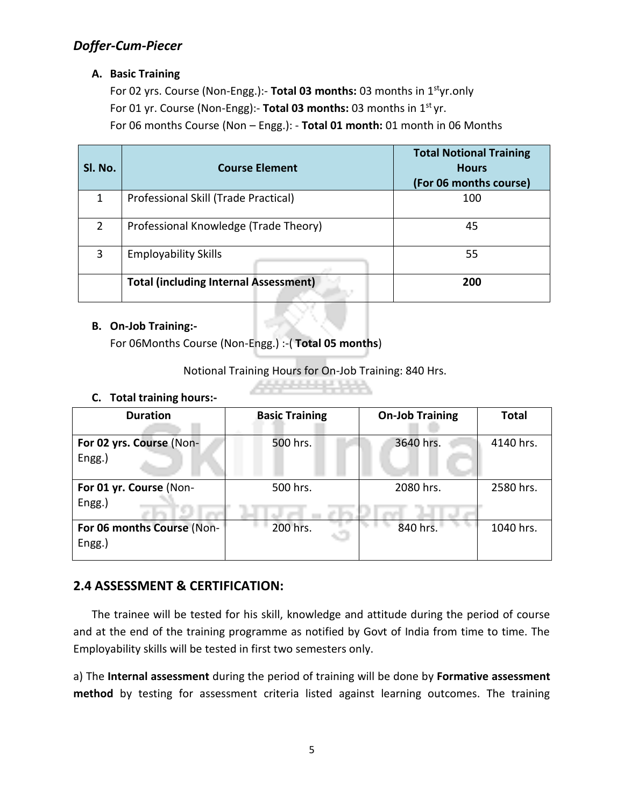#### **A. Basic Training**

For 02 yrs. Course (Non-Engg.):- **Total 03 months:** 03 months in 1styr.only For 01 yr. Course (Non-Engg):- Total 03 months: 03 months in 1<sup>st</sup> yr. For 06 months Course (Non – Engg.): - **Total 01 month:** 01 month in 06 Months

| SI. No. | <b>Course Element</b>                        | <b>Total Notional Training</b><br><b>Hours</b><br>(For 06 months course) |
|---------|----------------------------------------------|--------------------------------------------------------------------------|
| 1       | Professional Skill (Trade Practical)         | 100                                                                      |
| 2       | Professional Knowledge (Trade Theory)        | 45                                                                       |
| 3       | <b>Employability Skills</b>                  | 55                                                                       |
|         | <b>Total (including Internal Assessment)</b> | 200                                                                      |

#### **B. On-Job Training:-**

For 06Months Course (Non-Engg.) :-( **Total 05 months**)

Notional Training Hours for On-Job Training: 840 Hrs.

#### **C. Total training hours:-**

| <b>Duration</b>                      | <b>Basic Training</b> | <b>On-Job Training</b> | <b>Total</b> |
|--------------------------------------|-----------------------|------------------------|--------------|
| For 02 yrs. Course (Non-<br>Engg.)   | 500 hrs.              | 3640 hrs.              | 4140 hrs.    |
| For 01 yr. Course (Non-<br>Engg.)    | 500 hrs.              | 2080 hrs.              | 2580 hrs.    |
| For 06 months Course (Non-<br>Engg.) | 200 hrs.              | 840 hrs.               | 1040 hrs.    |

#### **2.4 ASSESSMENT & CERTIFICATION:**

The trainee will be tested for his skill, knowledge and attitude during the period of course and at the end of the training programme as notified by Govt of India from time to time. The Employability skills will be tested in first two semesters only.

a) The **Internal assessment** during the period of training will be done by **Formative assessment method** by testing for assessment criteria listed against learning outcomes. The training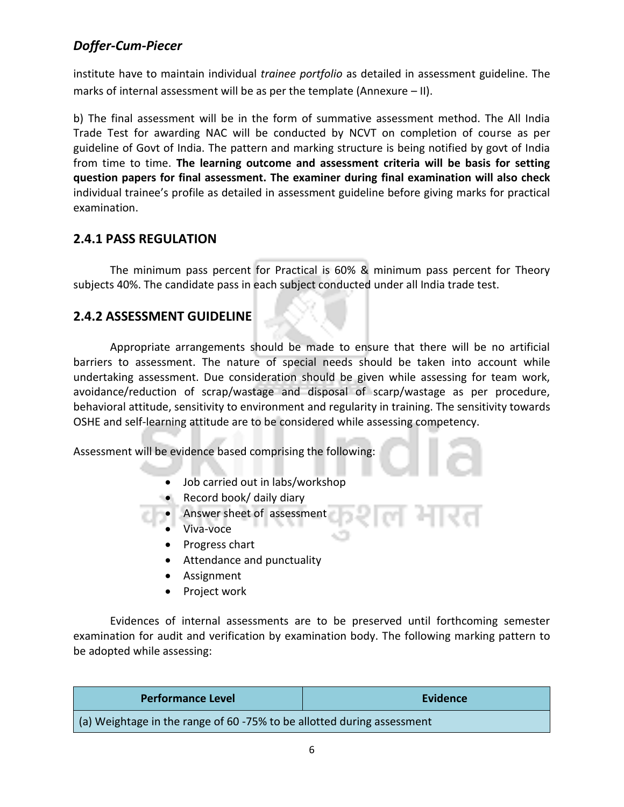institute have to maintain individual *trainee portfolio* as detailed in assessment guideline. The marks of internal assessment will be as per the template (Annexure – II).

b) The final assessment will be in the form of summative assessment method. The All India Trade Test for awarding NAC will be conducted by NCVT on completion of course as per guideline of Govt of India. The pattern and marking structure is being notified by govt of India from time to time. **The learning outcome and assessment criteria will be basis for setting question papers for final assessment. The examiner during final examination will also check**  individual trainee's profile as detailed in assessment guideline before giving marks for practical examination.

#### **2.4.1 PASS REGULATION**

The minimum pass percent for Practical is 60% & minimum pass percent for Theory subjects 40%. The candidate pass in each subject conducted under all India trade test.

#### **2.4.2 ASSESSMENT GUIDELINE**

Appropriate arrangements should be made to ensure that there will be no artificial barriers to assessment. The nature of special needs should be taken into account while undertaking assessment. Due consideration should be given while assessing for team work, avoidance/reduction of scrap/wastage and disposal of scarp/wastage as per procedure, behavioral attitude, sensitivity to environment and regularity in training. The sensitivity towards OSHE and self-learning attitude are to be considered while assessing competency.

Assessment will be evidence based comprising the following:

- Job carried out in labs/workshop
- Record book/ daily diary

• Answer sheet of assessment

- Viva-voce
- Progress chart
- Attendance and punctuality
- Assignment
- Project work

Evidences of internal assessments are to be preserved until forthcoming semester examination for audit and verification by examination body. The following marking pattern to be adopted while assessing:

| <b>Performance Level</b>                                                      | Evidence |
|-------------------------------------------------------------------------------|----------|
| $\mid$ (a) Weightage in the range of 60 -75% to be allotted during assessment |          |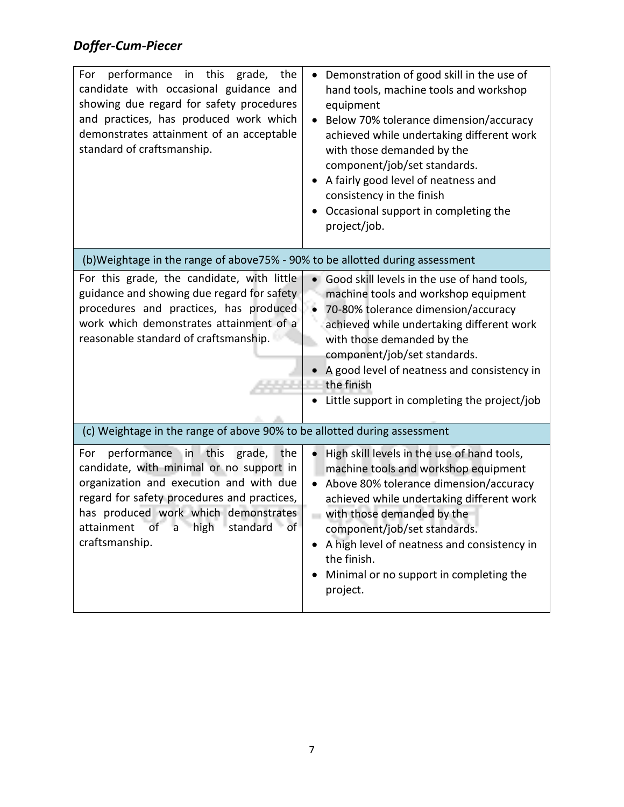| performance in this<br>the<br>For<br>grade,<br>candidate with occasional guidance and<br>showing due regard for safety procedures<br>and practices, has produced work which<br>demonstrates attainment of an acceptable<br>standard of craftsmanship.                                       | Demonstration of good skill in the use of<br>hand tools, machine tools and workshop<br>equipment<br>Below 70% tolerance dimension/accuracy<br>achieved while undertaking different work<br>with those demanded by the<br>component/job/set standards.<br>A fairly good level of neatness and<br>consistency in the finish<br>Occasional support in completing the<br>project/job.         |
|---------------------------------------------------------------------------------------------------------------------------------------------------------------------------------------------------------------------------------------------------------------------------------------------|-------------------------------------------------------------------------------------------------------------------------------------------------------------------------------------------------------------------------------------------------------------------------------------------------------------------------------------------------------------------------------------------|
| (b) Weightage in the range of above 75% - 90% to be allotted during assessment                                                                                                                                                                                                              |                                                                                                                                                                                                                                                                                                                                                                                           |
| For this grade, the candidate, with little<br>guidance and showing due regard for safety<br>procedures and practices, has produced<br>work which demonstrates attainment of a<br>reasonable standard of craftsmanship.                                                                      | Good skill levels in the use of hand tools,<br>machine tools and workshop equipment<br>70-80% tolerance dimension/accuracy<br>achieved while undertaking different work<br>with those demanded by the<br>component/job/set standards.<br>A good level of neatness and consistency in<br>the finish<br>Little support in completing the project/job                                        |
| (c) Weightage in the range of above 90% to be allotted during assessment                                                                                                                                                                                                                    |                                                                                                                                                                                                                                                                                                                                                                                           |
| performance in this<br>grade,<br>For<br>the<br>candidate, with minimal or no support in<br>organization and execution and with due<br>regard for safety procedures and practices,<br>has produced work which demonstrates<br>standard of<br>high<br>attainment<br>οf<br>a<br>craftsmanship. | High skill levels in the use of hand tools,<br>machine tools and workshop equipment<br>Above 80% tolerance dimension/accuracy<br>$\bullet$<br>achieved while undertaking different work<br>with those demanded by the<br>component/job/set standards.<br>A high level of neatness and consistency in<br>$\bullet$<br>the finish.<br>• Minimal or no support in completing the<br>project. |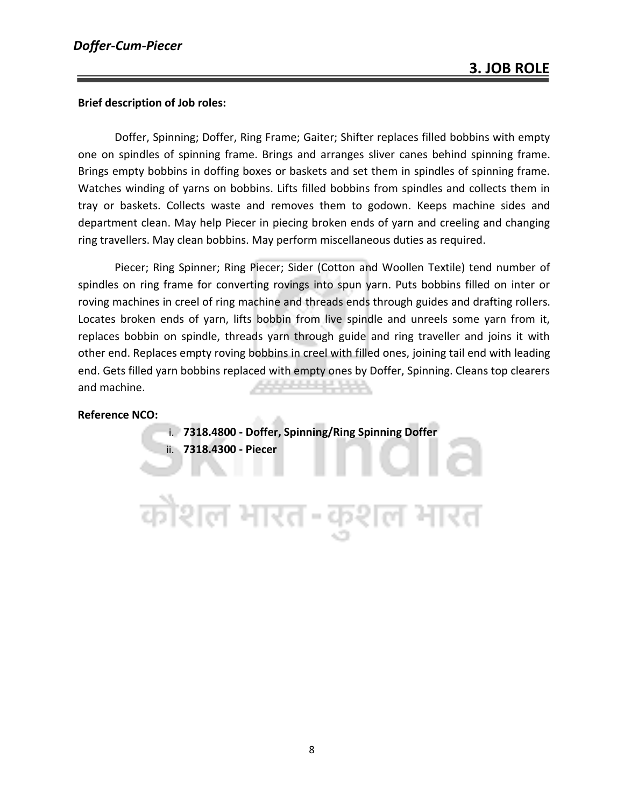#### **Brief description of Job roles:**

Doffer, Spinning; Doffer, Ring Frame; Gaiter; Shifter replaces filled bobbins with empty one on spindles of spinning frame. Brings and arranges sliver canes behind spinning frame. Brings empty bobbins in doffing boxes or baskets and set them in spindles of spinning frame. Watches winding of yarns on bobbins. Lifts filled bobbins from spindles and collects them in tray or baskets. Collects waste and removes them to godown. Keeps machine sides and department clean. May help Piecer in piecing broken ends of yarn and creeling and changing ring travellers. May clean bobbins. May perform miscellaneous duties as required.

Piecer; Ring Spinner; Ring Piecer; Sider (Cotton and Woollen Textile) tend number of spindles on ring frame for converting rovings into spun yarn. Puts bobbins filled on inter or roving machines in creel of ring machine and threads ends through guides and drafting rollers. Locates broken ends of yarn, lifts bobbin from live spindle and unreels some yarn from it, replaces bobbin on spindle, threads yarn through guide and ring traveller and joins it with other end. Replaces empty roving bobbins in creel with filled ones, joining tail end with leading end. Gets filled yarn bobbins replaced with empty ones by Doffer, Spinning. Cleans top clearers and machine.

#### **Reference NCO:**

i. **7318.4800 - Doffer, Spinning/Ring Spinning Doffer** ii. **7318.4300 - Piecer**

त्रौशल भारत-क्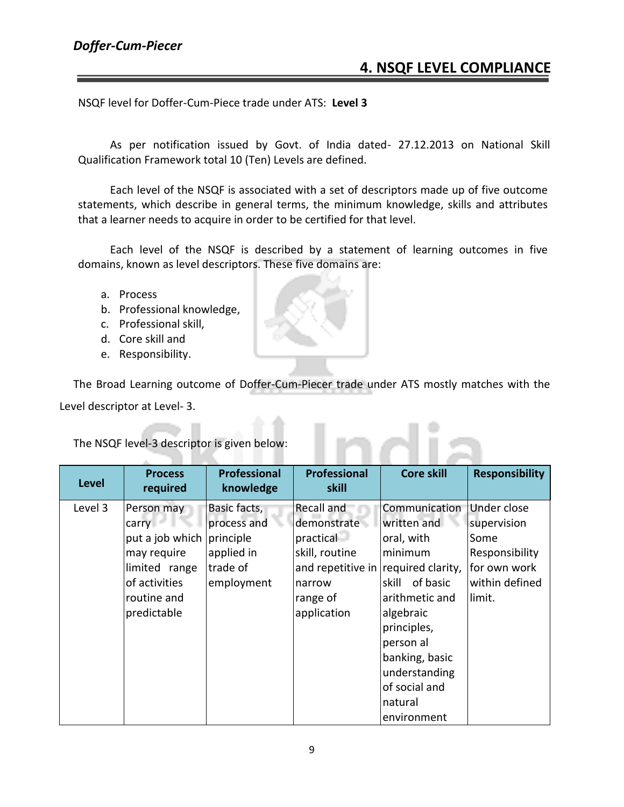NSQF level for Doffer-Cum-Piece trade under ATS: **Level 3**

As per notification issued by Govt. of India dated- 27.12.2013 on National Skill Qualification Framework total 10 (Ten) Levels are defined.

Each level of the NSQF is associated with a set of descriptors made up of five outcome statements, which describe in general terms, the minimum knowledge, skills and attributes that a learner needs to acquire in order to be certified for that level.

Each level of the NSQF is described by a statement of learning outcomes in five domains, known as level descriptors. These five domains are:

- a. Process
- b. Professional knowledge,
- c. Professional skill,
- d. Core skill and
- e. Responsibility.

The Broad Learning outcome of Doffer-Cum-Piecer trade under ATS mostly matches with the Level descriptor at Level- 3.

ndis

The NSQF level-3 descriptor is given below:

| <b>Level</b> | <b>Process</b><br>required                                                                                   | <b>Professional</b><br>knowledge                                                 | <b>Professional</b><br>skill                                                                                                         | <b>Core skill</b>                                                                                                                                                                                                | <b>Responsibility</b>                                                                            |
|--------------|--------------------------------------------------------------------------------------------------------------|----------------------------------------------------------------------------------|--------------------------------------------------------------------------------------------------------------------------------------|------------------------------------------------------------------------------------------------------------------------------------------------------------------------------------------------------------------|--------------------------------------------------------------------------------------------------|
| Level 3      | Person may<br>put a job which<br>may require<br>limited range<br>of activities<br>routine and<br>predictable | Basic facts,<br>process and<br>principle<br>applied in<br>trade of<br>employment | Recall and<br>demonstrate<br>practical<br>skill, routine<br>and repetitive in required clarity,<br>narrow<br>range of<br>application | Communication<br>written and<br>oral, with<br>minimum<br>skill of basic<br>arithmetic and<br>algebraic<br>principles,<br>person al<br>banking, basic<br>understanding<br>of social and<br>natural<br>environment | Under close<br>supervision<br>Some<br>Responsibility<br>for own work<br>within defined<br>limit. |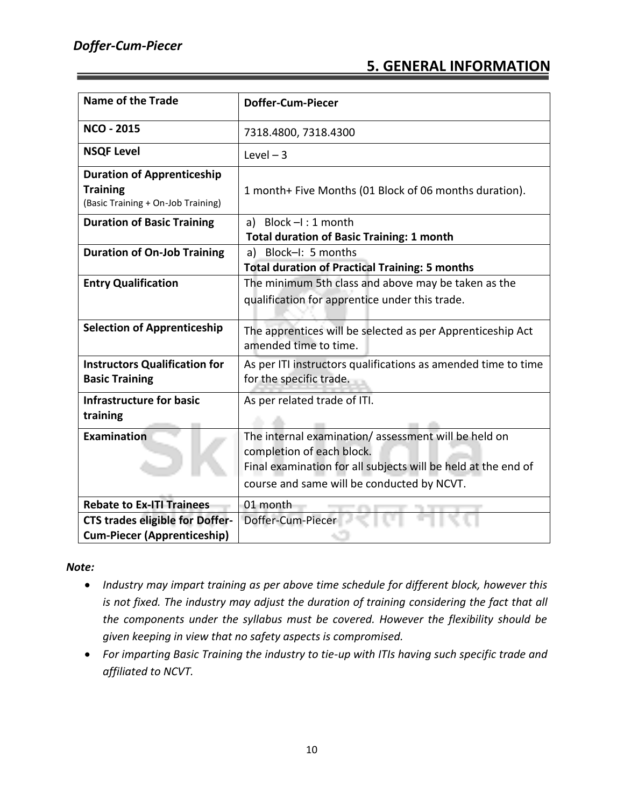#### **5. GENERAL INFORMATION**

| <b>Name of the Trade</b>                                                                   | <b>Doffer-Cum-Piecer</b>                                                                                                                                                                        |
|--------------------------------------------------------------------------------------------|-------------------------------------------------------------------------------------------------------------------------------------------------------------------------------------------------|
| <b>NCO - 2015</b>                                                                          | 7318.4800, 7318.4300                                                                                                                                                                            |
| <b>NSQF Level</b>                                                                          | Level $-3$                                                                                                                                                                                      |
| <b>Duration of Apprenticeship</b><br><b>Training</b><br>(Basic Training + On-Job Training) | 1 month+ Five Months (01 Block of 06 months duration).                                                                                                                                          |
| <b>Duration of Basic Training</b>                                                          | a) Block $-l:1$ month<br><b>Total duration of Basic Training: 1 month</b>                                                                                                                       |
| <b>Duration of On-Job Training</b>                                                         | a) Block-I: 5 months<br><b>Total duration of Practical Training: 5 months</b>                                                                                                                   |
| <b>Entry Qualification</b>                                                                 | The minimum 5th class and above may be taken as the<br>qualification for apprentice under this trade.                                                                                           |
| <b>Selection of Apprenticeship</b>                                                         | The apprentices will be selected as per Apprenticeship Act<br>amended time to time.                                                                                                             |
| <b>Instructors Qualification for</b><br><b>Basic Training</b>                              | As per ITI instructors qualifications as amended time to time<br>for the specific trade.                                                                                                        |
| <b>Infrastructure for basic</b><br>training                                                | As per related trade of ITI.                                                                                                                                                                    |
| Examination                                                                                | The internal examination/assessment will be held on<br>completion of each block.<br>Final examination for all subjects will be held at the end of<br>course and same will be conducted by NCVT. |
| <b>Rebate to Ex-ITI Trainees</b>                                                           | 01 month                                                                                                                                                                                        |
| <b>CTS trades eligible for Doffer-</b>                                                     | Doffer-Cum-Piecer                                                                                                                                                                               |
| <b>Cum-Piecer (Apprenticeship)</b>                                                         |                                                                                                                                                                                                 |

#### *Note:*

- *Industry may impart training as per above time schedule for different block, however this is not fixed. The industry may adjust the duration of training considering the fact that all the components under the syllabus must be covered. However the flexibility should be given keeping in view that no safety aspects is compromised.*
- *For imparting Basic Training the industry to tie-up with ITIs having such specific trade and affiliated to NCVT.*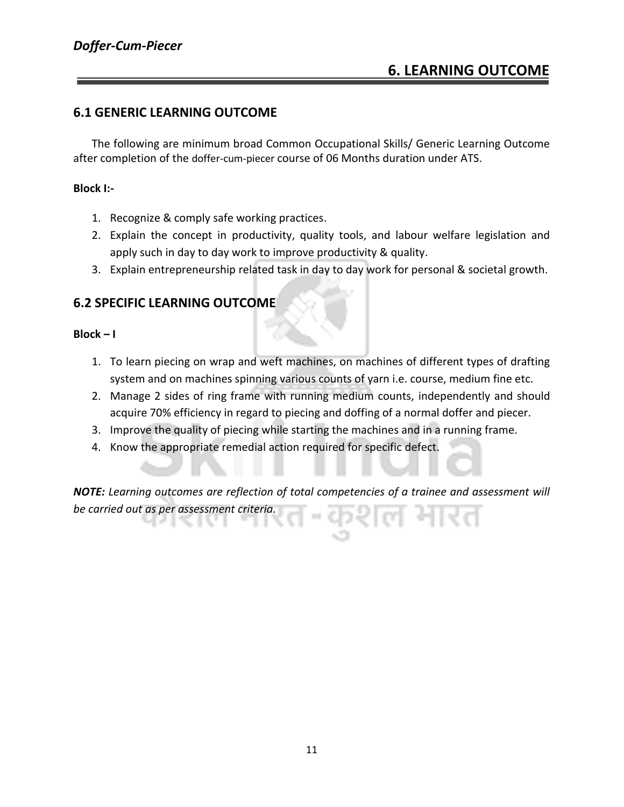#### **6.1 GENERIC LEARNING OUTCOME**

The following are minimum broad Common Occupational Skills/ Generic Learning Outcome after completion of the doffer-cum-piecer course of 06 Months duration under ATS.

#### **Block I:-**

- 1. Recognize & comply safe working practices.
- 2. Explain the concept in productivity, quality tools, and labour welfare legislation and apply such in day to day work to improve productivity & quality.
- 3. Explain entrepreneurship related task in day to day work for personal & societal growth.

#### **6.2 SPECIFIC LEARNING OUTCOME**

#### **Block – I**

- 1. To learn piecing on wrap and weft machines, on machines of different types of drafting system and on machines spinning various counts of yarn i.e. course, medium fine etc.
- 2. Manage 2 sides of ring frame with running medium counts, independently and should acquire 70% efficiency in regard to piecing and doffing of a normal doffer and piecer.
- 3. Improve the quality of piecing while starting the machines and in a running frame.
- 4. Know the appropriate remedial action required for specific defect.

*NOTE: Learning outcomes are reflection of total competencies of a trainee and assessment will be carried out as per assessment criteria.*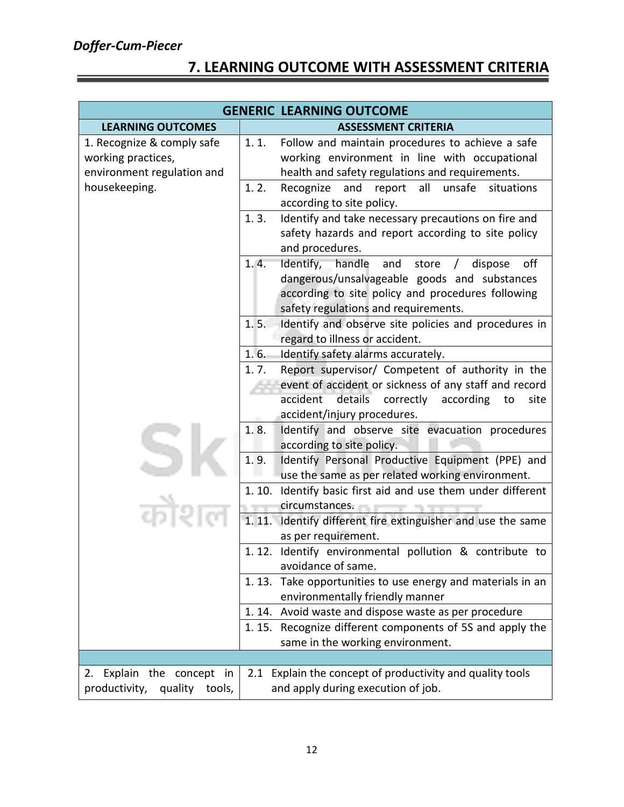#### **7. LEARNING OUTCOME WITH ASSESSMENT CRITERIA**

|                                                                                | <b>GENERIC LEARNING OUTCOME</b>                                                                                                                                                                                     |
|--------------------------------------------------------------------------------|---------------------------------------------------------------------------------------------------------------------------------------------------------------------------------------------------------------------|
| <b>LEARNING OUTCOMES</b>                                                       | <b>ASSESSMENT CRITERIA</b>                                                                                                                                                                                          |
| 1. Recognize & comply safe<br>working practices,<br>environment regulation and | 1.1.<br>Follow and maintain procedures to achieve a safe<br>working environment in line with occupational<br>health and safety regulations and requirements.                                                        |
| housekeeping.                                                                  | report all<br>unsafe<br>1.2.<br>Recognize<br>and<br>situations<br>according to site policy.                                                                                                                         |
|                                                                                | 1.3.<br>Identify and take necessary precautions on fire and<br>safety hazards and report according to site policy<br>and procedures.                                                                                |
|                                                                                | 1.4.<br>Identify, handle<br>and<br>store<br>off<br>dispose<br>$\prime$<br>dangerous/unsalvageable goods and substances<br>according to site policy and procedures following<br>safety regulations and requirements. |
|                                                                                | Identify and observe site policies and procedures in<br>1.5.<br>regard to illness or accident.                                                                                                                      |
|                                                                                | 1.6.<br>Identify safety alarms accurately.                                                                                                                                                                          |
|                                                                                | Report supervisor/ Competent of authority in the<br>1.7.<br>event of accident or sickness of any staff and record<br>accident<br>details correctly<br>according<br>to<br>site<br>accident/injury procedures.        |
|                                                                                | Identify and observe site evacuation procedures<br>1.8.<br>according to site policy.                                                                                                                                |
|                                                                                | 1.9.<br>Identify Personal Productive Equipment (PPE) and<br>use the same as per related working environment.                                                                                                        |
|                                                                                | 1.10. Identify basic first aid and use them under different<br>circumstances.                                                                                                                                       |
|                                                                                | 1.11.<br>Identify different fire extinguisher and use the same<br>as per requirement.                                                                                                                               |
|                                                                                | 1.12. Identify environmental pollution & contribute to<br>avoidance of same.                                                                                                                                        |
|                                                                                | 1.13. Take opportunities to use energy and materials in an<br>environmentally friendly manner                                                                                                                       |
|                                                                                | 1.14. Avoid waste and dispose waste as per procedure<br>1.15. Recognize different components of 5S and apply the<br>same in the working environment.                                                                |
|                                                                                |                                                                                                                                                                                                                     |
| Explain the concept in<br>2.<br>productivity,<br>quality tools,                | 2.1 Explain the concept of productivity and quality tools<br>and apply during execution of job.                                                                                                                     |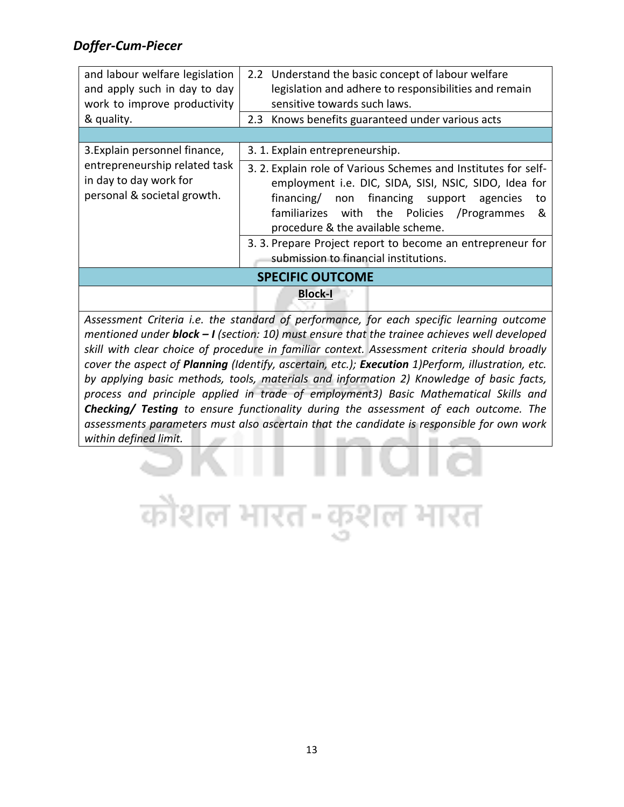| and labour welfare legislation<br>and apply such in day to day<br>work to improve productivity<br>& quality. | 2.2 Understand the basic concept of labour welfare<br>legislation and adhere to responsibilities and remain<br>sensitive towards such laws.<br>2.3 Knows benefits guaranteed under various acts                                                                       |  |
|--------------------------------------------------------------------------------------------------------------|-----------------------------------------------------------------------------------------------------------------------------------------------------------------------------------------------------------------------------------------------------------------------|--|
|                                                                                                              |                                                                                                                                                                                                                                                                       |  |
| 3. Explain personnel finance,                                                                                | 3. 1. Explain entrepreneurship.                                                                                                                                                                                                                                       |  |
| entrepreneurship related task<br>in day to day work for<br>personal & societal growth.                       | 3. 2. Explain role of Various Schemes and Institutes for self-<br>employment i.e. DIC, SIDA, SISI, NSIC, SIDO, Idea for<br>financing/ non financing support agencies<br>to<br>familiarizes with the Policies<br>/Programmes<br>&<br>procedure & the available scheme. |  |
|                                                                                                              | 3. 3. Prepare Project report to become an entrepreneur for<br>submission to financial institutions.                                                                                                                                                                   |  |
| <b>SPECIFIC OUTCOME</b>                                                                                      |                                                                                                                                                                                                                                                                       |  |
|                                                                                                              | <b>Block-I</b>                                                                                                                                                                                                                                                        |  |

*Assessment Criteria i.e. the standard of performance, for each specific learning outcome mentioned under block – I (section: 10) must ensure that the trainee achieves well developed skill with clear choice of procedure in familiar context. Assessment criteria should broadly cover the aspect of Planning (Identify, ascertain, etc.); Execution 1)Perform, illustration, etc. by applying basic methods, tools, materials and information 2) Knowledge of basic facts, process and principle applied in trade of employment3) Basic Mathematical Skills and Checking/ Testing to ensure functionality during the assessment of each outcome. The assessments parameters must also ascertain that the candidate is responsible for own work within defined limit.*

ल भारत

कोशल भारत-कुश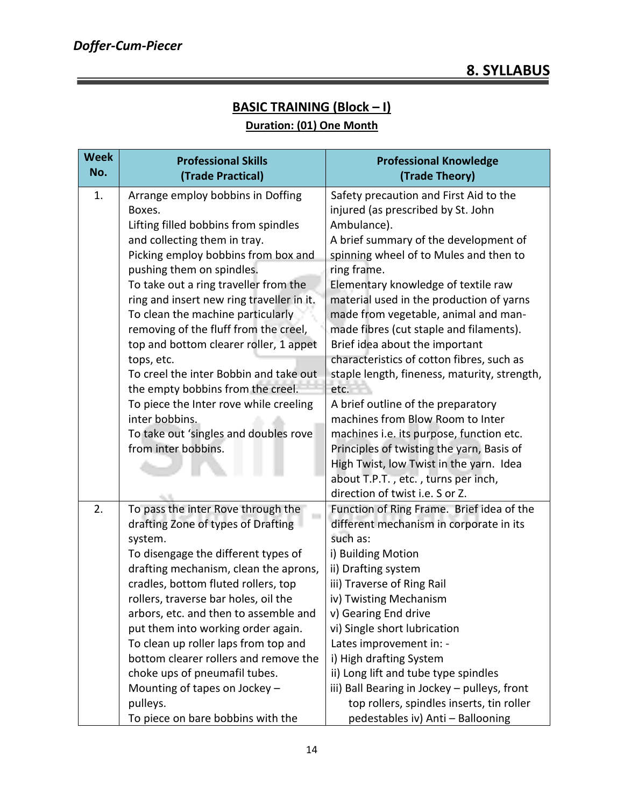### **BASIC TRAINING (Block – I)**

#### **Duration: (01) One Month**

| <b>Week</b><br>No. | <b>Professional Skills</b><br>(Trade Practical)                              | <b>Professional Knowledge</b><br>(Trade Theory)   |  |  |  |  |  |  |
|--------------------|------------------------------------------------------------------------------|---------------------------------------------------|--|--|--|--|--|--|
| 1.                 | Arrange employ bobbins in Doffing                                            | Safety precaution and First Aid to the            |  |  |  |  |  |  |
|                    | Boxes.                                                                       | injured (as prescribed by St. John                |  |  |  |  |  |  |
|                    | Lifting filled bobbins from spindles                                         | Ambulance).                                       |  |  |  |  |  |  |
|                    | and collecting them in tray.                                                 | A brief summary of the development of             |  |  |  |  |  |  |
|                    | Picking employ bobbins from box and                                          | spinning wheel of to Mules and then to            |  |  |  |  |  |  |
|                    | pushing them on spindles.                                                    | ring frame.                                       |  |  |  |  |  |  |
|                    | To take out a ring traveller from the                                        | Elementary knowledge of textile raw               |  |  |  |  |  |  |
|                    | ring and insert new ring traveller in it.                                    | material used in the production of yarns          |  |  |  |  |  |  |
|                    | To clean the machine particularly                                            | made from vegetable, animal and man-              |  |  |  |  |  |  |
|                    | removing of the fluff from the creel,                                        | made fibres (cut staple and filaments).           |  |  |  |  |  |  |
|                    | top and bottom clearer roller, 1 appet                                       | Brief idea about the important                    |  |  |  |  |  |  |
|                    | tops, etc.                                                                   | characteristics of cotton fibres, such as         |  |  |  |  |  |  |
|                    | To creel the inter Bobbin and take out                                       | staple length, fineness, maturity, strength,      |  |  |  |  |  |  |
|                    | the empty bobbins from the creel.                                            | etc.                                              |  |  |  |  |  |  |
|                    | To piece the Inter rove while creeling                                       | A brief outline of the preparatory                |  |  |  |  |  |  |
|                    | inter bobbins.                                                               | machines from Blow Room to Inter                  |  |  |  |  |  |  |
|                    | To take out 'singles and doubles rove                                        | machines i.e. its purpose, function etc.          |  |  |  |  |  |  |
|                    | from inter bobbins.                                                          | Principles of twisting the yarn, Basis of         |  |  |  |  |  |  |
|                    |                                                                              | High Twist, low Twist in the yarn. Idea           |  |  |  |  |  |  |
|                    |                                                                              | about T.P.T., etc., turns per inch,               |  |  |  |  |  |  |
|                    |                                                                              | direction of twist i.e. S or Z.                   |  |  |  |  |  |  |
| 2.                 | To pass the inter Rove through the                                           | Function of Ring Frame. Brief idea of the         |  |  |  |  |  |  |
|                    | drafting Zone of types of Drafting                                           | different mechanism in corporate in its           |  |  |  |  |  |  |
|                    | system.                                                                      | such as:                                          |  |  |  |  |  |  |
|                    | To disengage the different types of                                          | i) Building Motion                                |  |  |  |  |  |  |
|                    | drafting mechanism, clean the aprons,<br>cradles, bottom fluted rollers, top | ii) Drafting system<br>iii) Traverse of Ring Rail |  |  |  |  |  |  |
|                    | rollers, traverse bar holes, oil the                                         | iv) Twisting Mechanism                            |  |  |  |  |  |  |
|                    | arbors, etc. and then to assemble and                                        | v) Gearing End drive                              |  |  |  |  |  |  |
|                    | put them into working order again.                                           | vi) Single short lubrication                      |  |  |  |  |  |  |
|                    | To clean up roller laps from top and                                         | Lates improvement in: -                           |  |  |  |  |  |  |
|                    | bottom clearer rollers and remove the                                        | i) High drafting System                           |  |  |  |  |  |  |
|                    | choke ups of pneumafil tubes.                                                | ii) Long lift and tube type spindles              |  |  |  |  |  |  |
|                    | Mounting of tapes on Jockey -                                                | iii) Ball Bearing in Jockey - pulleys, front      |  |  |  |  |  |  |
|                    | pulleys.                                                                     | top rollers, spindles inserts, tin roller         |  |  |  |  |  |  |
|                    | To piece on bare bobbins with the                                            | pedestables iv) Anti - Ballooning                 |  |  |  |  |  |  |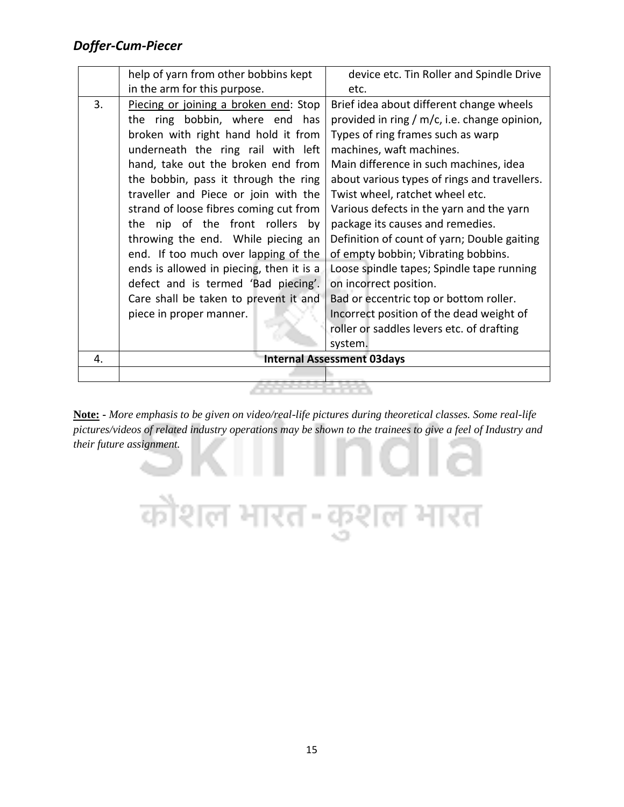|    | help of yarn from other bobbins kept     | device etc. Tin Roller and Spindle Drive     |  |  |  |  |  |  |  |
|----|------------------------------------------|----------------------------------------------|--|--|--|--|--|--|--|
|    | in the arm for this purpose.             | etc.                                         |  |  |  |  |  |  |  |
| 3. | Piecing or joining a broken end: Stop    | Brief idea about different change wheels     |  |  |  |  |  |  |  |
|    | the ring bobbin, where end has           | provided in ring / m/c, i.e. change opinion, |  |  |  |  |  |  |  |
|    | broken with right hand hold it from      | Types of ring frames such as warp            |  |  |  |  |  |  |  |
|    | underneath the ring rail with left       | machines, waft machines.                     |  |  |  |  |  |  |  |
|    | hand, take out the broken end from       | Main difference in such machines, idea       |  |  |  |  |  |  |  |
|    | the bobbin, pass it through the ring     | about various types of rings and travellers. |  |  |  |  |  |  |  |
|    | traveller and Piece or join with the     | Twist wheel, ratchet wheel etc.              |  |  |  |  |  |  |  |
|    | strand of loose fibres coming cut from   | Various defects in the yarn and the yarn     |  |  |  |  |  |  |  |
|    | the nip of the front rollers by          | package its causes and remedies.             |  |  |  |  |  |  |  |
|    | throwing the end. While piecing an       | Definition of count of yarn; Double gaiting  |  |  |  |  |  |  |  |
|    | end. If too much over lapping of the     | of empty bobbin; Vibrating bobbins.          |  |  |  |  |  |  |  |
|    | ends is allowed in piecing, then it is a | Loose spindle tapes; Spindle tape running    |  |  |  |  |  |  |  |
|    | defect and is termed 'Bad piecing'.      | on incorrect position.                       |  |  |  |  |  |  |  |
|    | Care shall be taken to prevent it and    | Bad or eccentric top or bottom roller.       |  |  |  |  |  |  |  |
|    | piece in proper manner.                  | Incorrect position of the dead weight of     |  |  |  |  |  |  |  |
|    |                                          | roller or saddles levers etc. of drafting    |  |  |  |  |  |  |  |
|    |                                          | system.                                      |  |  |  |  |  |  |  |
| 4. |                                          | <b>Internal Assessment 03days</b>            |  |  |  |  |  |  |  |
|    |                                          |                                              |  |  |  |  |  |  |  |
|    |                                          |                                              |  |  |  |  |  |  |  |

**Note: -** *More emphasis to be given on video/real-life pictures during theoretical classes. Some real-life pictures/videos of related industry operations may be shown to the trainees to give a feel of Industry and their future assignment.*

कौशल भारत-कुशल भारत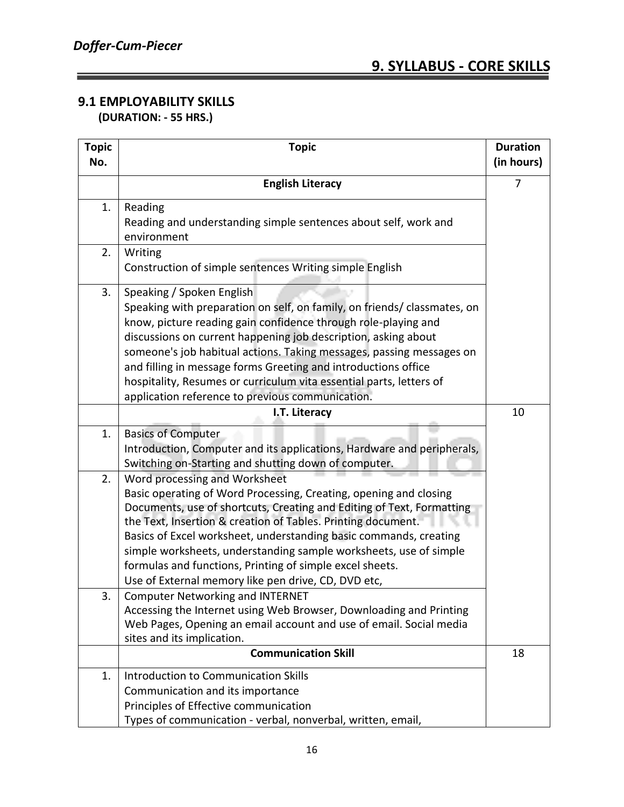#### **9.1 EMPLOYABILITY SKILLS (DURATION: - 55 HRS.)**

| <b>Topic</b><br>No. | <b>Topic</b>                                                                                                                                                                                                                                                                                                                                                                                                                                                                                                   |    |  |  |  |
|---------------------|----------------------------------------------------------------------------------------------------------------------------------------------------------------------------------------------------------------------------------------------------------------------------------------------------------------------------------------------------------------------------------------------------------------------------------------------------------------------------------------------------------------|----|--|--|--|
|                     | <b>English Literacy</b>                                                                                                                                                                                                                                                                                                                                                                                                                                                                                        |    |  |  |  |
| 1.                  | Reading<br>Reading and understanding simple sentences about self, work and<br>environment                                                                                                                                                                                                                                                                                                                                                                                                                      |    |  |  |  |
| 2.                  | Writing<br>Construction of simple sentences Writing simple English                                                                                                                                                                                                                                                                                                                                                                                                                                             |    |  |  |  |
| 3.                  | Speaking / Spoken English<br>Speaking with preparation on self, on family, on friends/ classmates, on<br>know, picture reading gain confidence through role-playing and<br>discussions on current happening job description, asking about<br>someone's job habitual actions. Taking messages, passing messages on<br>and filling in message forms Greeting and introductions office<br>hospitality, Resumes or curriculum vita essential parts, letters of<br>application reference to previous communication. |    |  |  |  |
|                     | I.T. Literacy                                                                                                                                                                                                                                                                                                                                                                                                                                                                                                  | 10 |  |  |  |
| 1.                  | <b>Basics of Computer</b><br>Introduction, Computer and its applications, Hardware and peripherals,<br>Switching on-Starting and shutting down of computer.                                                                                                                                                                                                                                                                                                                                                    |    |  |  |  |
| 2.                  | Word processing and Worksheet<br>Basic operating of Word Processing, Creating, opening and closing<br>Documents, use of shortcuts, Creating and Editing of Text, Formatting<br>the Text, Insertion & creation of Tables. Printing document.<br>Basics of Excel worksheet, understanding basic commands, creating<br>simple worksheets, understanding sample worksheets, use of simple<br>formulas and functions, Printing of simple excel sheets.<br>Use of External memory like pen drive, CD, DVD etc,       |    |  |  |  |
| 3.                  | <b>Computer Networking and INTERNET</b><br>Accessing the Internet using Web Browser, Downloading and Printing<br>Web Pages, Opening an email account and use of email. Social media<br>sites and its implication.                                                                                                                                                                                                                                                                                              |    |  |  |  |
|                     | <b>Communication Skill</b>                                                                                                                                                                                                                                                                                                                                                                                                                                                                                     | 18 |  |  |  |
| 1.                  | <b>Introduction to Communication Skills</b><br>Communication and its importance<br>Principles of Effective communication<br>Types of communication - verbal, nonverbal, written, email,                                                                                                                                                                                                                                                                                                                        |    |  |  |  |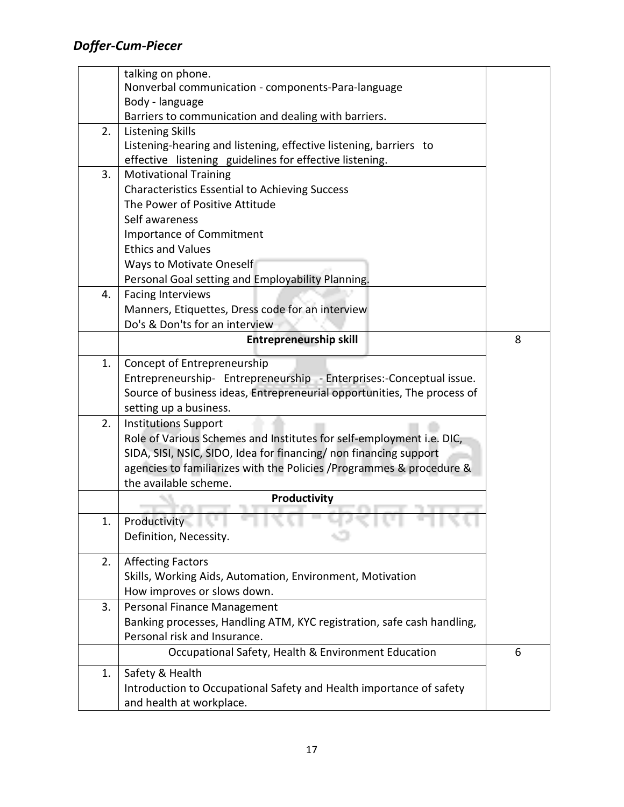|    | talking on phone.                                                                                                                              |   |  |  |  |  |  |  |  |  |
|----|------------------------------------------------------------------------------------------------------------------------------------------------|---|--|--|--|--|--|--|--|--|
|    | Nonverbal communication - components-Para-language                                                                                             |   |  |  |  |  |  |  |  |  |
|    | Body - language<br>Barriers to communication and dealing with barriers.                                                                        |   |  |  |  |  |  |  |  |  |
|    | <b>Listening Skills</b>                                                                                                                        |   |  |  |  |  |  |  |  |  |
| 2. | Listening-hearing and listening, effective listening, barriers to                                                                              |   |  |  |  |  |  |  |  |  |
|    | effective listening guidelines for effective listening.                                                                                        |   |  |  |  |  |  |  |  |  |
| 3. |                                                                                                                                                |   |  |  |  |  |  |  |  |  |
|    | <b>Motivational Training</b><br><b>Characteristics Essential to Achieving Success</b>                                                          |   |  |  |  |  |  |  |  |  |
|    | The Power of Positive Attitude                                                                                                                 |   |  |  |  |  |  |  |  |  |
|    |                                                                                                                                                |   |  |  |  |  |  |  |  |  |
|    | Self awareness                                                                                                                                 |   |  |  |  |  |  |  |  |  |
|    | Importance of Commitment<br><b>Ethics and Values</b>                                                                                           |   |  |  |  |  |  |  |  |  |
|    |                                                                                                                                                |   |  |  |  |  |  |  |  |  |
|    | Ways to Motivate Oneself<br>Personal Goal setting and Employability Planning.                                                                  |   |  |  |  |  |  |  |  |  |
| 4. | <b>Facing Interviews</b>                                                                                                                       |   |  |  |  |  |  |  |  |  |
|    | Manners, Etiquettes, Dress code for an interview                                                                                               |   |  |  |  |  |  |  |  |  |
|    | Do's & Don'ts for an interview                                                                                                                 |   |  |  |  |  |  |  |  |  |
|    | <b>Entrepreneurship skill</b>                                                                                                                  | 8 |  |  |  |  |  |  |  |  |
|    |                                                                                                                                                |   |  |  |  |  |  |  |  |  |
| 1. | Concept of Entrepreneurship                                                                                                                    |   |  |  |  |  |  |  |  |  |
|    | Entrepreneurship- Entrepreneurship - Enterprises:-Conceptual issue.<br>Source of business ideas, Entrepreneurial opportunities, The process of |   |  |  |  |  |  |  |  |  |
|    |                                                                                                                                                |   |  |  |  |  |  |  |  |  |
| 2. | setting up a business.                                                                                                                         |   |  |  |  |  |  |  |  |  |
|    | <b>Institutions Support</b>                                                                                                                    |   |  |  |  |  |  |  |  |  |
|    | Role of Various Schemes and Institutes for self-employment i.e. DIC,                                                                           |   |  |  |  |  |  |  |  |  |
|    | SIDA, SISI, NSIC, SIDO, Idea for financing/ non financing support                                                                              |   |  |  |  |  |  |  |  |  |
|    | agencies to familiarizes with the Policies / Programmes & procedure &<br>the available scheme.                                                 |   |  |  |  |  |  |  |  |  |
|    | Productivity                                                                                                                                   |   |  |  |  |  |  |  |  |  |
|    |                                                                                                                                                |   |  |  |  |  |  |  |  |  |
| 1. | <b>Productivity</b>                                                                                                                            |   |  |  |  |  |  |  |  |  |
|    | Definition, Necessity.                                                                                                                         |   |  |  |  |  |  |  |  |  |
| 2. | <b>Affecting Factors</b>                                                                                                                       |   |  |  |  |  |  |  |  |  |
|    | Skills, Working Aids, Automation, Environment, Motivation                                                                                      |   |  |  |  |  |  |  |  |  |
|    | How improves or slows down.                                                                                                                    |   |  |  |  |  |  |  |  |  |
| 3. | Personal Finance Management                                                                                                                    |   |  |  |  |  |  |  |  |  |
|    | Banking processes, Handling ATM, KYC registration, safe cash handling,                                                                         |   |  |  |  |  |  |  |  |  |
|    | Personal risk and Insurance.                                                                                                                   |   |  |  |  |  |  |  |  |  |
|    | Occupational Safety, Health & Environment Education                                                                                            | 6 |  |  |  |  |  |  |  |  |
| 1. | Safety & Health                                                                                                                                |   |  |  |  |  |  |  |  |  |
|    | Introduction to Occupational Safety and Health importance of safety                                                                            |   |  |  |  |  |  |  |  |  |
|    | and health at workplace.                                                                                                                       |   |  |  |  |  |  |  |  |  |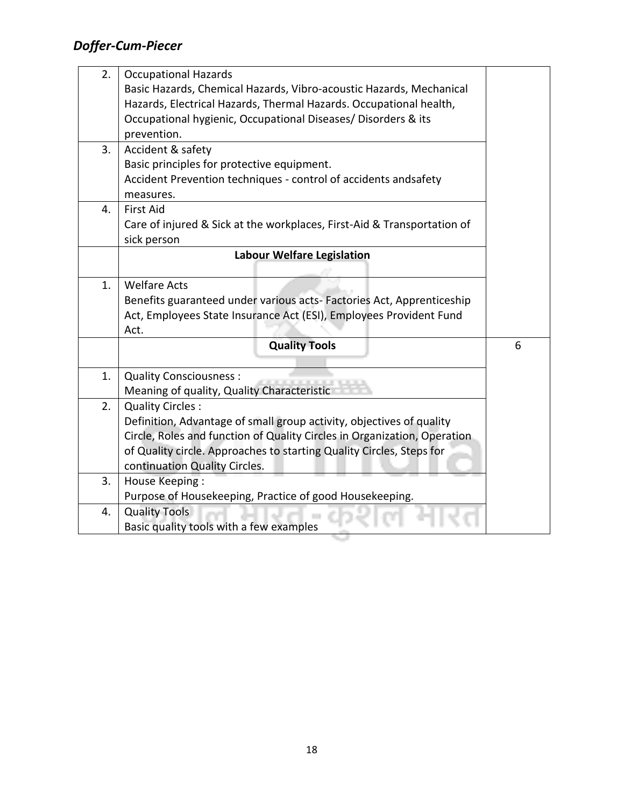| 2. | <b>Occupational Hazards</b>                                              |   |  |  |  |  |  |  |  |
|----|--------------------------------------------------------------------------|---|--|--|--|--|--|--|--|
|    | Basic Hazards, Chemical Hazards, Vibro-acoustic Hazards, Mechanical      |   |  |  |  |  |  |  |  |
|    | Hazards, Electrical Hazards, Thermal Hazards. Occupational health,       |   |  |  |  |  |  |  |  |
|    | Occupational hygienic, Occupational Diseases/ Disorders & its            |   |  |  |  |  |  |  |  |
|    | prevention.                                                              |   |  |  |  |  |  |  |  |
| 3. | Accident & safety                                                        |   |  |  |  |  |  |  |  |
|    | Basic principles for protective equipment.                               |   |  |  |  |  |  |  |  |
|    | Accident Prevention techniques - control of accidents andsafety          |   |  |  |  |  |  |  |  |
|    | measures.                                                                |   |  |  |  |  |  |  |  |
| 4. | <b>First Aid</b>                                                         |   |  |  |  |  |  |  |  |
|    | Care of injured & Sick at the workplaces, First-Aid & Transportation of  |   |  |  |  |  |  |  |  |
|    | sick person                                                              |   |  |  |  |  |  |  |  |
|    | <b>Labour Welfare Legislation</b>                                        |   |  |  |  |  |  |  |  |
|    |                                                                          |   |  |  |  |  |  |  |  |
| 1. | <b>Welfare Acts</b>                                                      |   |  |  |  |  |  |  |  |
|    | Benefits guaranteed under various acts-Factories Act, Apprenticeship     |   |  |  |  |  |  |  |  |
|    | Act, Employees State Insurance Act (ESI), Employees Provident Fund       |   |  |  |  |  |  |  |  |
|    | Act.                                                                     |   |  |  |  |  |  |  |  |
|    | <b>Quality Tools</b>                                                     | 6 |  |  |  |  |  |  |  |
|    |                                                                          |   |  |  |  |  |  |  |  |
| 1. | <b>Quality Consciousness:</b>                                            |   |  |  |  |  |  |  |  |
|    | Meaning of quality, Quality Characteristic                               |   |  |  |  |  |  |  |  |
| 2. | Quality Circles:                                                         |   |  |  |  |  |  |  |  |
|    | Definition, Advantage of small group activity, objectives of quality     |   |  |  |  |  |  |  |  |
|    | Circle, Roles and function of Quality Circles in Organization, Operation |   |  |  |  |  |  |  |  |
|    | of Quality circle. Approaches to starting Quality Circles, Steps for     |   |  |  |  |  |  |  |  |
|    | continuation Quality Circles.                                            |   |  |  |  |  |  |  |  |
| 3. | <b>House Keeping:</b>                                                    |   |  |  |  |  |  |  |  |
|    | Purpose of Housekeeping, Practice of good Housekeeping.                  |   |  |  |  |  |  |  |  |
| 4. | <b>Quality Tools</b>                                                     |   |  |  |  |  |  |  |  |
|    | Basic quality tools with a few examples                                  |   |  |  |  |  |  |  |  |

**STEP**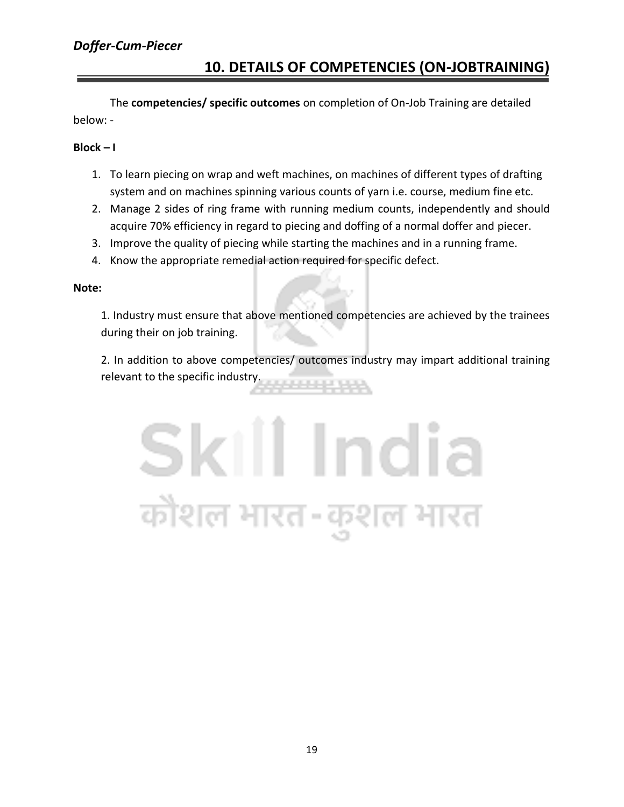#### **10. DETAILS OF COMPETENCIES (ON-JOBTRAINING)**

The **competencies/ specific outcomes** on completion of On-Job Training are detailed below: -

#### **Block – I**

- 1. To learn piecing on wrap and weft machines, on machines of different types of drafting system and on machines spinning various counts of yarn i.e. course, medium fine etc.
- 2. Manage 2 sides of ring frame with running medium counts, independently and should acquire 70% efficiency in regard to piecing and doffing of a normal doffer and piecer.
- 3. Improve the quality of piecing while starting the machines and in a running frame.
- 4. Know the appropriate remedial action required for specific defect.

#### **Note:**

1. Industry must ensure that above mentioned competencies are achieved by the trainees during their on job training.

2. In addition to above competencies/ outcomes industry may impart additional training relevant to the specific industry. **A BANK AND A** 

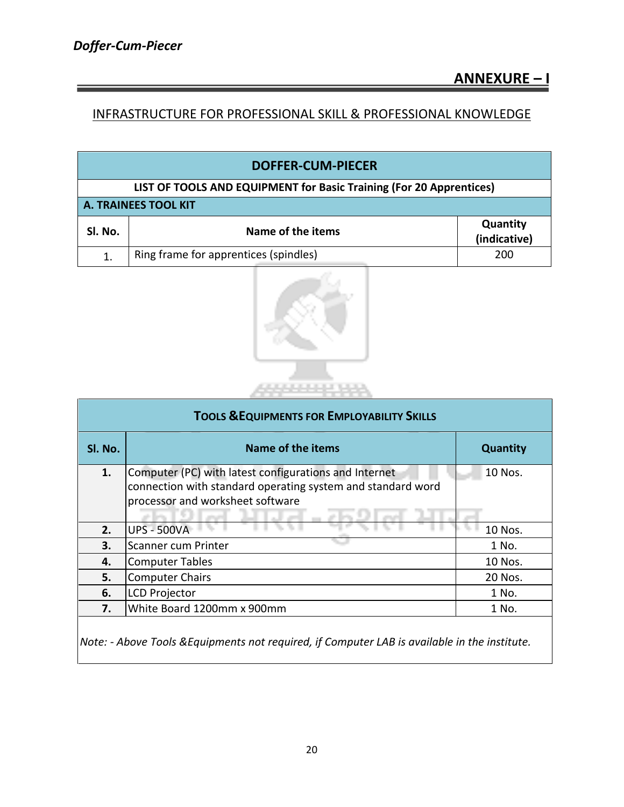#### INFRASTRUCTURE FOR PROFESSIONAL SKILL & PROFESSIONAL KNOWLEDGE

| <b>DOFFER-CUM-PIECER</b>                                            |                                       |                          |  |  |  |  |  |  |  |
|---------------------------------------------------------------------|---------------------------------------|--------------------------|--|--|--|--|--|--|--|
| LIST OF TOOLS AND EQUIPMENT for Basic Training (For 20 Apprentices) |                                       |                          |  |  |  |  |  |  |  |
|                                                                     | <b>A. TRAINEES TOOL KIT</b>           |                          |  |  |  |  |  |  |  |
| SI. No.                                                             | Name of the items                     | Quantity<br>(indicative) |  |  |  |  |  |  |  |
| 1.                                                                  | Ring frame for apprentices (spindles) | 200                      |  |  |  |  |  |  |  |



| <b>TOOLS &amp; EQUIPMENTS FOR EMPLOYABILITY SKILLS</b> |                                                                                                                                                          |                 |  |  |  |  |  |  |  |
|--------------------------------------------------------|----------------------------------------------------------------------------------------------------------------------------------------------------------|-----------------|--|--|--|--|--|--|--|
| SI. No.                                                | Name of the items                                                                                                                                        | <b>Quantity</b> |  |  |  |  |  |  |  |
| 1.                                                     | Computer (PC) with latest configurations and Internet<br>connection with standard operating system and standard word<br>processor and worksheet software | 10 Nos.         |  |  |  |  |  |  |  |
| 2.                                                     | <b>UPS - 500VA</b>                                                                                                                                       | 10 Nos.         |  |  |  |  |  |  |  |
| 3.                                                     | Scanner cum Printer                                                                                                                                      | 1 No.           |  |  |  |  |  |  |  |
| 4.                                                     | <b>Computer Tables</b>                                                                                                                                   | 10 Nos.         |  |  |  |  |  |  |  |
| 5.                                                     | <b>Computer Chairs</b>                                                                                                                                   | 20 Nos.         |  |  |  |  |  |  |  |
| 6.                                                     | <b>LCD Projector</b>                                                                                                                                     | 1 No.           |  |  |  |  |  |  |  |
| 7.                                                     | White Board 1200mm x 900mm                                                                                                                               | 1 No.           |  |  |  |  |  |  |  |

*Note: - Above Tools &Equipments not required, if Computer LAB is available in the institute.*